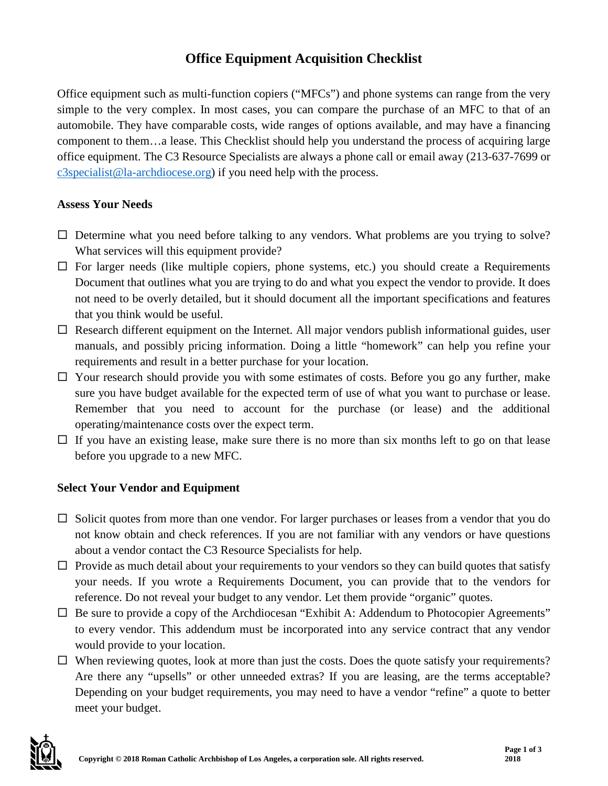# **Office Equipment Acquisition Checklist**

Office equipment such as multi-function copiers ("MFCs") and phone systems can range from the very simple to the very complex. In most cases, you can compare the purchase of an MFC to that of an automobile. They have comparable costs, wide ranges of options available, and may have a financing component to them…a lease. This Checklist should help you understand the process of acquiring large office equipment. The C3 Resource Specialists are always a phone call or email away (213-637-7699 or [c3specialist@la-archdiocese.org\)](mailto:c3specialist@la-archdiocese.org) if you need help with the process.

#### **Assess Your Needs**

- $\Box$  Determine what you need before talking to any vendors. What problems are you trying to solve? What services will this equipment provide?
- $\Box$  For larger needs (like multiple copiers, phone systems, etc.) you should create a Requirements Document that outlines what you are trying to do and what you expect the vendor to provide. It does not need to be overly detailed, but it should document all the important specifications and features that you think would be useful.
- $\Box$  Research different equipment on the Internet. All major vendors publish informational guides, user manuals, and possibly pricing information. Doing a little "homework" can help you refine your requirements and result in a better purchase for your location.
- $\Box$  Your research should provide you with some estimates of costs. Before you go any further, make sure you have budget available for the expected term of use of what you want to purchase or lease. Remember that you need to account for the purchase (or lease) and the additional operating/maintenance costs over the expect term.
- $\Box$  If you have an existing lease, make sure there is no more than six months left to go on that lease before you upgrade to a new MFC.

### **Select Your Vendor and Equipment**

- $\Box$  Solicit quotes from more than one vendor. For larger purchases or leases from a vendor that you do not know obtain and check references. If you are not familiar with any vendors or have questions about a vendor contact the C3 Resource Specialists for help.
- $\Box$  Provide as much detail about your requirements to your vendors so they can build quotes that satisfy your needs. If you wrote a Requirements Document, you can provide that to the vendors for reference. Do not reveal your budget to any vendor. Let them provide "organic" quotes.
- $\Box$  Be sure to provide a copy of the Archdiocesan "Exhibit A: Addendum to Photocopier Agreements" to every vendor. This addendum must be incorporated into any service contract that any vendor would provide to your location.
- $\Box$  When reviewing quotes, look at more than just the costs. Does the quote satisfy your requirements? Are there any "upsells" or other unneeded extras? If you are leasing, are the terms acceptable? Depending on your budget requirements, you may need to have a vendor "refine" a quote to better meet your budget.

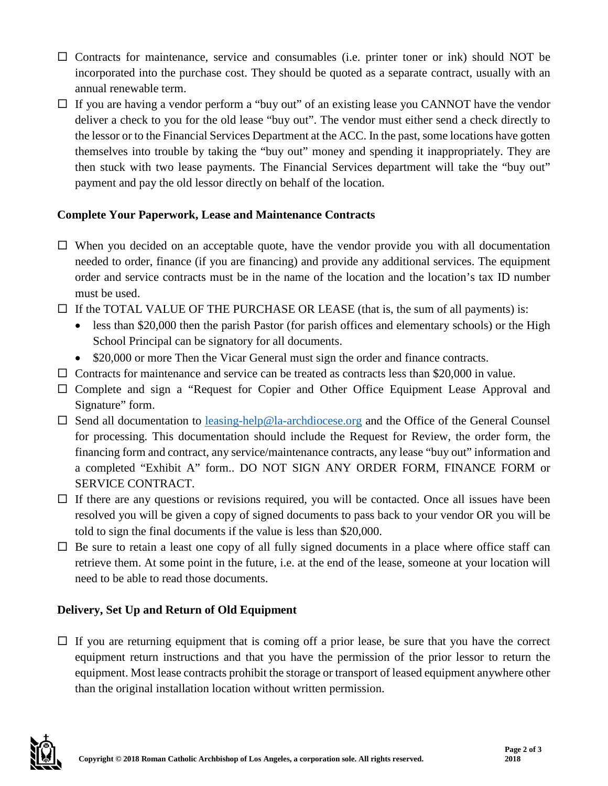- $\Box$  Contracts for maintenance, service and consumables (i.e. printer toner or ink) should NOT be incorporated into the purchase cost. They should be quoted as a separate contract, usually with an annual renewable term.
- $\Box$  If you are having a vendor perform a "buy out" of an existing lease you CANNOT have the vendor deliver a check to you for the old lease "buy out". The vendor must either send a check directly to the lessor or to the Financial Services Department at the ACC. In the past, some locations have gotten themselves into trouble by taking the "buy out" money and spending it inappropriately. They are then stuck with two lease payments. The Financial Services department will take the "buy out" payment and pay the old lessor directly on behalf of the location.

### **Complete Your Paperwork, Lease and Maintenance Contracts**

- $\Box$  When you decided on an acceptable quote, have the vendor provide you with all documentation needed to order, finance (if you are financing) and provide any additional services. The equipment order and service contracts must be in the name of the location and the location's tax ID number must be used.
- $\Box$  If the TOTAL VALUE OF THE PURCHASE OR LEASE (that is, the sum of all payments) is:
	- less than \$20,000 then the parish Pastor (for parish offices and elementary schools) or the High School Principal can be signatory for all documents.
	- \$20,000 or more Then the Vicar General must sign the order and finance contracts.
- $\Box$  Contracts for maintenance and service can be treated as contracts less than \$20,000 in value.
- Complete and sign a "Request for Copier and Other Office Equipment Lease Approval and Signature" form.
- $\square$  Send all documentation to [leasing-help@la-archdiocese.org](mailto:leasing-help@la-archdiocese.org) and the Office of the General Counsel for processing. This documentation should include the Request for Review, the order form, the financing form and contract, any service/maintenance contracts, any lease "buy out" information and a completed "Exhibit A" form.. DO NOT SIGN ANY ORDER FORM, FINANCE FORM or SERVICE CONTRACT.
- $\Box$  If there are any questions or revisions required, you will be contacted. Once all issues have been resolved you will be given a copy of signed documents to pass back to your vendor OR you will be told to sign the final documents if the value is less than \$20,000.
- $\Box$  Be sure to retain a least one copy of all fully signed documents in a place where office staff can retrieve them. At some point in the future, i.e. at the end of the lease, someone at your location will need to be able to read those documents.

## **Delivery, Set Up and Return of Old Equipment**

 $\Box$  If you are returning equipment that is coming off a prior lease, be sure that you have the correct equipment return instructions and that you have the permission of the prior lessor to return the equipment. Most lease contracts prohibit the storage or transport of leased equipment anywhere other than the original installation location without written permission.